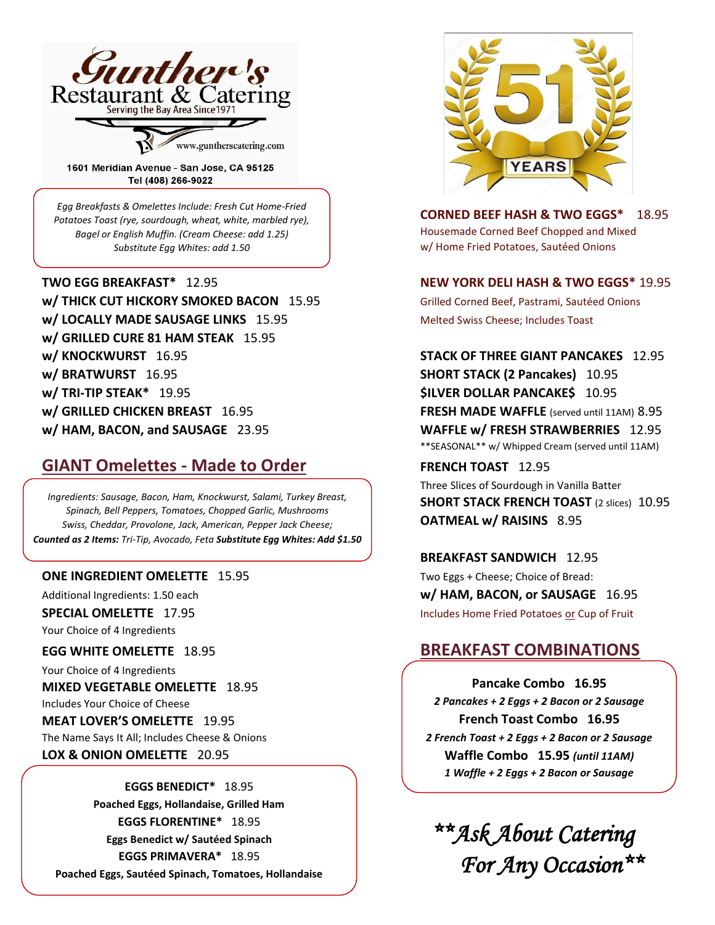

1601 Meridian Avenue - San Jose, CA 95125 Tel (408) 266-9022

*Egg Breakfasts & Omelettes Include: Fresh Cut Home-Fried Potatoes Toast (rye, sourdough, wheat, white, marbled rye), Bagel or English Muffin. (Cream Cheese: add 1.25) Substitute Egg Whites: add 1.50*

**w/ THICK CUT HICKORY SMOKED BACON** 15.95 Grilled Corned Beef, Pastrami, Sautéed Onions **w/ LOCALLY MADE SAUSAGE LINKS** 15.95 Melted Swiss Cheese; Includes Toast **w/ GRILLED CURE 81 HAM STEAK** 15.95 **w/ KNOCKWURST** 16.95 **STACK OF THREE GIANT PANCAKES** 12.95 **w/ BRATWURST** 16.95 **SHORT STACK (2 Pancakes)** 10.95 **w/ TRI-TIP STEAK\*** 19.95 **\$ILVER DOLLAR PANCAKE\$** 10.95 **w/ GRILLED CHICKEN BREAST** 16.95 **FRESH MADE WAFFLE** (served until 11AM) 8.95 **w/ HAM, BACON, and SAUSAGE** 23.95 **WAFFLE w/ FRESH STRAWBERRIES** 12.95

# **GIANT Omelettes - Made to Order** FRENCH TOAST 12.95

*Ingredients: Sausage, Bacon, Ham, Knockwurst, Salami, Turkey Breast, Spinach, Bell Peppers, Tomatoes, Chopped Garlic, Mushrooms Swiss, Cheddar, Provolone, Jack, American, Pepper Jack Cheese; Counted as 2 Items: Tri-Tip, Avocado, Feta Substitute Egg Whites: Add \$1.50*

### **ONE INGREDIENT OMELETTE** 15.95 TWO Eggs + Cheese; Choice of Bread:

Your Choice of 4 Ingredients

Your Choice of 4 Ingredients

**MIXED VEGETABLE OMELETTE** 18.95 Includes Your Choice of Cheese

**MEAT LOVER'S OMELETTE** 19.95 The Name Says It All; Includes Cheese & Onions **LOX & ONION OMELETTE** 20.95

### **EGGS BENEDICT\*** 18.95

**Poached Eggs, Hollandaise, Grilled Ham EGGS FLORENTINE\*** 18.95 **Eggs Benedict w/ Sautéed Spinach EGGS PRIMAVERA\*** 18.95 **Poached Eggs, Sautéed Spinach, Tomatoes, Hollandaise**



**CORNED BEEF HASH & TWO EGGS\*** 18.95 Housemade Corned Beef Chopped and Mixed w/ Home Fried Potatoes, Sautéed Onions

# **TWO EGG BREAKFAST\*** 12.95 **NEW YORK DELI HASH & TWO EGGS\*** 19.95

\*\*SEASONAL\*\* w/ Whipped Cream (served until 11AM)

Three Slices of Sourdough in Vanilla Batter **SHORT STACK FRENCH TOAST** (2 slices)10.95 **OATMEAL w/ RAISINS** 8.95

**BREAKFAST SANDWICH** 12.95 Additional Ingredients: 1.50 each **w/ HAM, BACON, or SAUSAGE** 16.95 **SPECIAL OMELETTE** 17.95 **Includes Home Fried Potatoes or Cup of Fruit** 

# **EGG WHITE OMELETTE** 18.95 **BREAKFAST COMBINATIONS**

**Pancake Combo 16.95** *2 Pancakes + 2 Eggs + 2 Bacon or 2 Sausage* **French Toast Combo 16.95** *2 French Toast + 2 Eggs + 2 Bacon or 2 Sausage* **Waffle Combo 15.95** *(until 11AM) 1 Waffle + 2 Eggs + 2 Bacon or Sausage*

 *\*\*Ask About Catering* *For Any Occasion\*\**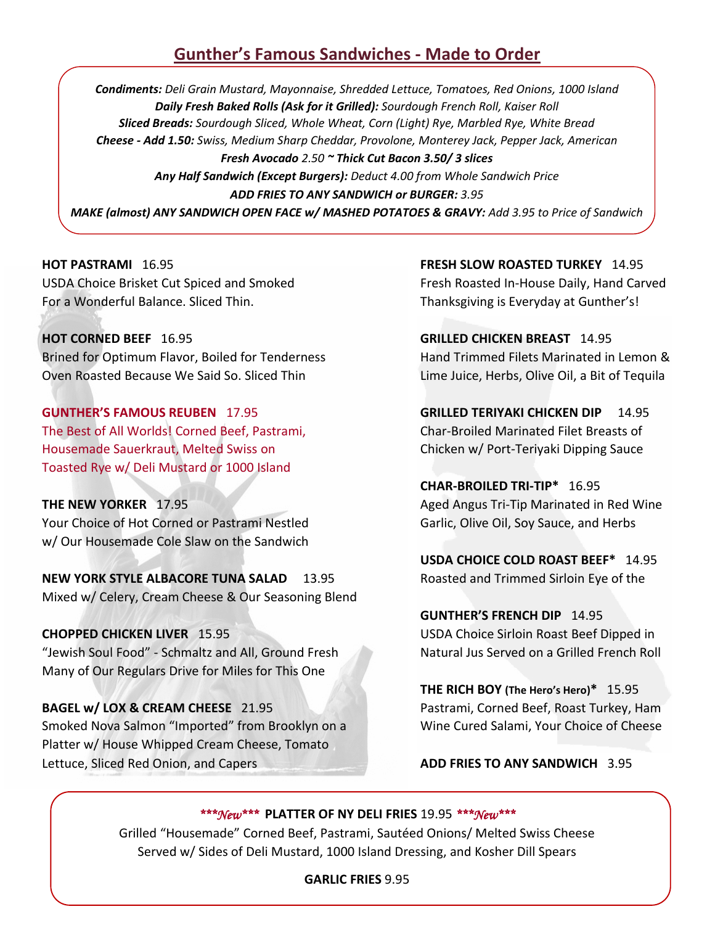# **Gunther's Famous Sandwiches - Made to Order**

*Condiments: Deli Grain Mustard, Mayonnaise, Shredded Lettuce, Tomatoes, Red Onions, 1000 Island Daily Fresh Baked Rolls (Ask for it Grilled): Sourdough French Roll, Kaiser Roll Sliced Breads: Sourdough Sliced, Whole Wheat, Corn (Light) Rye, Marbled Rye, White Bread Cheese - Add 1.50: Swiss, Medium Sharp Cheddar, Provolone, Monterey Jack, Pepper Jack, American Fresh Avocado 2.50 ~ Thick Cut Bacon 3.50/ 3 slices Any Half Sandwich (Except Burgers): Deduct 4.00 from Whole Sandwich Price ADD FRIES TO ANY SANDWICH or BURGER: 3.95 MAKE (almost) ANY SANDWICH OPEN FACE w/ MASHED POTATOES & GRAVY: Add 3.95 to Price of Sandwich*

USDA Choice Brisket Cut Spiced and Smoked Fresh Roasted In-House Daily, Hand Carved For a Wonderful Balance. Sliced Thin. Thanksgiving is Everyday at Gunther's!

**HOT CORNED BEEF** 16.95 **GRILLED CHICKEN BREAST** 14.95 Brined for Optimum Flavor, Boiled for Tenderness Hand Trimmed Filets Marinated in Lemon & Oven Roasted Because We Said So. Sliced Thin Lime Juice, Herbs, Olive Oil, a Bit of Tequila

**GUNTHER'S FAMOUS REUBEN** 17.95 **GRILLED TERIYAKI CHICKEN DIP** 14.95 The Best of All Worlds! Corned Beef, Pastrami, Char-Broiled Marinated Filet Breasts of Housemade Sauerkraut, Melted Swiss on Chicken w/ Port-Teriyaki Dipping Sauce Toasted Rye w/ Deli Mustard or 1000 Island

**THE NEW YORKER** 17.95 **Aged Angus Tri-Tip Marinated in Red Wine** Your Choice of Hot Corned or Pastrami Nestled Garlic, Olive Oil, Soy Sauce, and Herbs w/ Our Housemade Cole Slaw on the Sandwich

**NEW YORK STYLE ALBACORE TUNA SALAD** 13.95 Roasted and Trimmed Sirloin Eye of the Mixed w/ Celery, Cream Cheese & Our Seasoning Blend

**CHOPPED CHICKEN LIVER** 15.95 **The CHOPPED CHICKEN LIVER** 15.95 "Jewish Soul Food" - Schmaltz and All, Ground Fresh Natural Jus Served on a Grilled French Roll Many of Our Regulars Drive for Miles for This One

**BAGEL w/ LOX & CREAM CHEESE** 21.95 Pastrami, Corned Beef, Roast Turkey, Ham Smoked Nova Salmon "Imported" from Brooklyn on a Wine Cured Salami, Your Choice of Cheese Platter w/ House Whipped Cream Cheese, Tomato Lettuce, Sliced Red Onion, and Capers **ADD FRIES TO ANY SANDWICH** 3.95

**HOT PASTRAMI** 16.95 **FRESH SLOW ROASTED TURKEY** 14.95

**CHAR-BROILED TRI-TIP\*** 16.95

**USDA CHOICE COLD ROAST BEEF\*** 14.95

**GUNTHER'S FRENCH DIP** 14.95

**THE RICH BOY (The Hero's Hero)\*** 15.95

# *\*\*\*New\*\*\** **PLATTER OF NY DELI FRIES** 19.95 *\*\*\*New\*\*\**

Grilled "Housemade" Corned Beef, Pastrami, Sautéed Onions/ Melted Swiss Cheese Served w/ Sides of Deli Mustard, 1000 Island Dressing, and Kosher Dill Spears

# **GARLIC FRIES** 9.95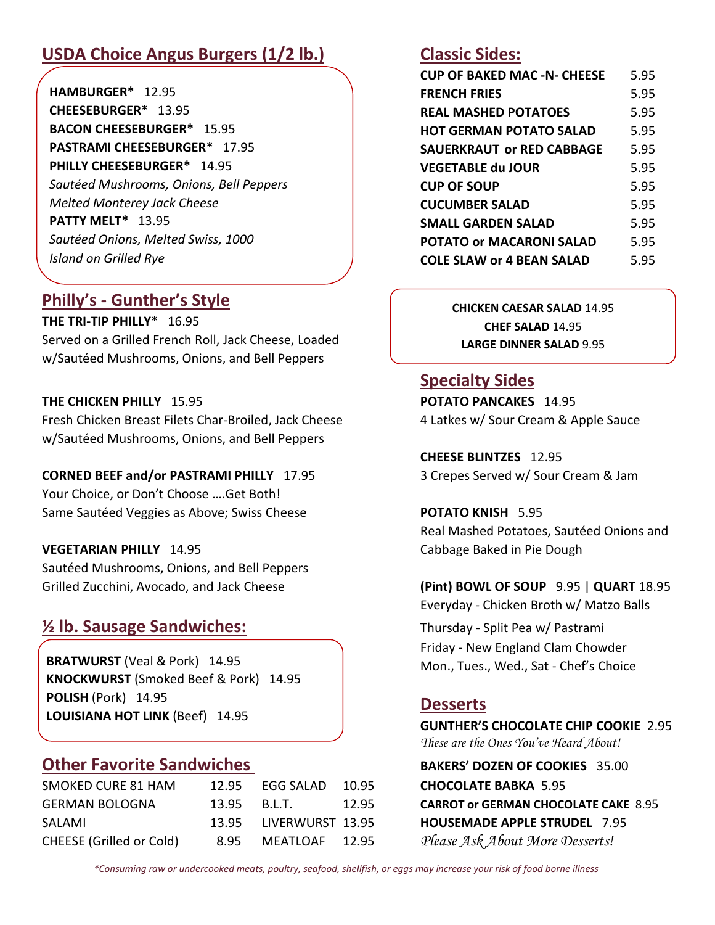# **USDA Choice Angus Burgers (1/2 lb.) Classic Sides:**

**HAMBURGER\*** 12.95 **CHEESEBURGER\*** 13.95 **BACON CHEESEBURGER\*** 15.95 **PASTRAMI CHEESEBURGER\*** 17.95 **PHILLY CHEESEBURGER\*** 14.95 *Sautéed Mushrooms, Onions, Bell Peppers Melted Monterey Jack Cheese*  **PATTY MELT\*** 13.95 *Sautéed Onions, Melted Swiss, 1000 Island on Grilled Rye*

# **Philly's - Gunther's Style**

**THE TRI-TIP PHILLY\*** 16.95 Served on a Grilled French Roll, Jack Cheese, Loaded w/Sautéed Mushrooms, Onions, and Bell Peppers 

# **THE CHICKEN PHILLY 15.95**

Fresh Chicken Breast Filets Char-Broiled, Jack Cheese w/Sautéed Mushrooms, Onions, and Bell Peppers

# **CORNED BEEF and/or PASTRAMI PHILLY** 17.95 3 Crepes Served w/ Sour Cream & Jam

Your Choice, or Don't Choose ….Get Both! Same Sautéed Veggies as Above; Swiss Cheese **POTATO KNISH** 5.95

Sautéed Mushrooms, Onions, and Bell Peppers Grilled Zucchini, Avocado, and Jack Cheese **(Pint) BOWL OF SOUP** 9.95 | **QUART** 18.95

# **½ lb. Sausage Sandwiches:** Thursday - Split Pea w/ Pastrami

**BRATWURST** (Veal & Pork) 14.95 **KNOCKWURST** (Smoked Beef & Pork) 14.95 **POLISH** (Pork) 14.95 **LOUISIANA HOT LINK** (Beef) 14.95

# **Other Favorite Sandwiches BAKERS' DOZEN OF COOKIES** 35.00

| SMOKED CURE 81 HAM              |                | 12.95 EGG SALAD        | 10.95 |
|---------------------------------|----------------|------------------------|-------|
| <b>GERMAN BOLOGNA</b>           | $13.95$ B.L.T. |                        | 12.95 |
| SALAMI                          |                | 13.95 LIVERWURST 13.95 |       |
| <b>CHEESE</b> (Grilled or Cold) | 8.95           | MEATLOAF 12.95         |       |

| <b>CUP OF BAKED MAC -N- CHEESE</b> | 5.95 |
|------------------------------------|------|
| <b>FRENCH FRIES</b>                | 5.95 |
| <b>REAL MASHED POTATOES</b>        | 5.95 |
| <b>HOT GERMAN POTATO SALAD</b>     | 5.95 |
| <b>SAUERKRAUT Or RED CABBAGE</b>   | 5.95 |
| <b>VEGETABLE du JOUR</b>           | 5.95 |
| <b>CUP OF SOUP</b>                 | 5.95 |
| <b>CUCUMBER SALAD</b>              | 5.95 |
| <b>SMALL GARDEN SALAD</b>          | 5.95 |
| <b>POTATO or MACARONI SALAD</b>    | 5.95 |
| <b>COLE SLAW or 4 BEAN SALAD</b>   | 5.95 |

**CHICKEN CAESAR SALAD** 14.95 **CHEF SALAD** 14.95 **LARGE DINNER SALAD** 9.95

# **Specialty Sides**

**POTATO PANCAKES** 14.95<br>4 Latkes w/ Sour Cream & Apple Sauce

**CHEESE BLINTZES** 12.95

Real Mashed Potatoes, Sautéed Onions and **VEGETARIAN PHILLY** 14.95 **Cabbage Baked in Pie Dough** 

Everyday - Chicken Broth w/ Matzo Balls

Friday - New England Clam Chowder Mon., Tues., Wed., Sat - Chef's Choice

# **Desserts**

**GUNTHER'S CHOCOLATE CHIP COOKIE** 2.95 *These are the Ones You've Heard About!*

**CHOCOLATE BABKA 5.95 CARROT or GERMAN CHOCOLATE CAKE 8.95 HOUSEMADE APPLE STRUDEL 7.95** Please Ask About More Desserts!

*\*Consuming raw or undercooked meats, poultry, seafood, shellfish, or eggs may increase your risk of food borne illness*